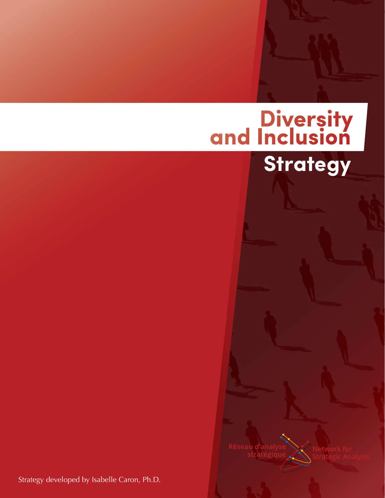# **Diversity**<br>and Inclusion **Strategy**

éseau d'anal

Strategy developed by Isabelle Caron, Ph.D.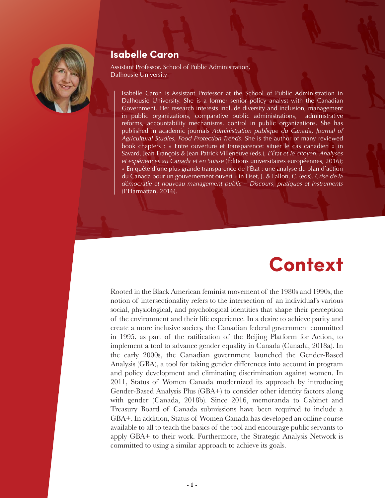

### **Isabelle Caron**

Assistant Professor, School of Public Administration, Dalhousie University

Isabelle Caron is Assistant Professor at the School of Public Administration in Dalhousie University. She is a former senior policy analyst with the Canadian Government. Her research interests include diversity and inclusion, management in public organizations, comparative public administrations, administrative reforms, accountability mechanisms, control in public organizations. She has published in academic journals *Administration publique du Canada, Journal of Agricultural Studies, Food Protection Trends*. She is the author of many reviewed book chapters : « Entre ouverture et transparence: situer le cas canadien » in Savard, Jean-François & Jean-Patrick Villeneuve (eds.), *L'État et le citoyen. Analyses et expériences au Canada et en Suisse* (Éditions universitaires européennes, 2016); « En quête d'une plus grande transparence de l'État : une analyse du plan d'action du Canada pour un gouvernement ouvert » in Fiset, J. & Fallon, C. (eds). *Crise de la démocratie et nouveau management public – Discours, pratiques et instruments* (L'Harmattan, 2016).

# **Context**

Rooted in the Black American feminist movement of the 1980s and 1990s, the notion of intersectionality refers to the intersection of an individual's various social, physiological, and psychological identities that shape their perception of the environment and their life experience. In a desire to achieve parity and create a more inclusive society, the Canadian federal government committed in 1995, as part of the ratification of the Beijing Platform for Action, to implement a tool to advance gender equality in Canada (Canada, 2018a). In the early 2000s, the Canadian government launched the Gender-Based Analysis (GBA), a tool for taking gender differences into account in program and policy development and eliminating discrimination against women. In 2011, Status of Women Canada modernized its approach by introducing Gender-Based Analysis Plus (GBA+) to consider other identity factors along with gender (Canada, 2018b). Since 2016, memoranda to Cabinet and Treasury Board of Canada submissions have been required to include a GBA+. In addition, Status of Women Canada has developed an online course available to all to teach the basics of the tool and encourage public servants to apply GBA+ to their work. Furthermore, the Strategic Analysis Network is committed to using a similar approach to achieve its goals.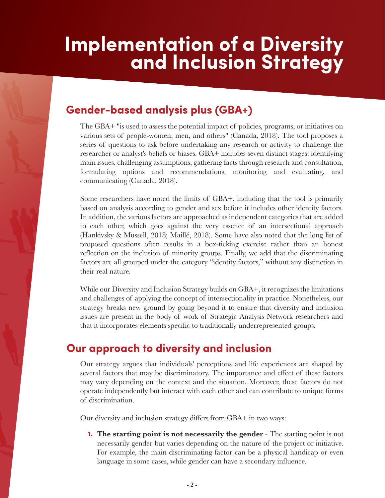# **Implementation of a Diversity and Inclusion Strategy**

# **Gender-based analysis plus (GBA+)**

The GBA+ "is used to assess the potential impact of policies, programs, or initiatives on various sets of people-women, men, and others" (Canada, 2018). The tool proposes a series of questions to ask before undertaking any research or activity to challenge the researcher or analyst's beliefs or biases. GBA+ includes seven distinct stages: identifying main issues, challenging assumptions, gathering facts through research and consultation, formulating options and recommendations, monitoring and evaluating, and communicating (Canada, 2018).

Some researchers have noted the limits of GBA+, including that the tool is primarily based on analysis according to gender and sex before it includes other identity factors. In addition, the various factors are approached as independent categories that are added to each other, which goes against the very essence of an intersectional approach (Hankivsky & Mussell, 2018; Maillé, 2018). Some have also noted that the long list of proposed questions often results in a box-ticking exercise rather than an honest reflection on the inclusion of minority groups. Finally, we add that the discriminating factors are all grouped under the category "identity factors," without any distinction in their real nature.

While our Diversity and Inclusion Strategy builds on GBA+, it recognizes the limitations and challenges of applying the concept of intersectionality in practice. Nonetheless, our strategy breaks new ground by going beyond it to ensure that diversity and inclusion issues are present in the body of work of Strategic Analysis Network researchers and that it incorporates elements specific to traditionally underrepresented groups.

# **Our approach to diversity and inclusion**

Our strategy argues that individuals' perceptions and life experiences are shaped by several factors that may be discriminatory. The importance and effect of these factors may vary depending on the context and the situation. Moreover, these factors do not operate independently but interact with each other and can contribute to unique forms of discrimination.

Our diversity and inclusion strategy differs from GBA+ in two ways:

**The starting point is not necessarily the gender** - The starting point is not **1.** necessarily gender but varies depending on the nature of the project or initiative. For example, the main discriminating factor can be a physical handicap or even language in some cases, while gender can have a secondary influence.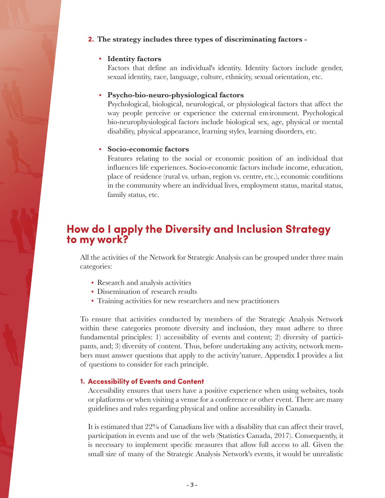#### **2. The strategy includes three types of discriminating factors -**

#### **Identity factors**

Factors that define an individual's identity. Identity factors include gender, sexual identity, race, language, culture, ethnicity, sexual orientation, etc.

#### **Psycho-bio-neuro-physiological factors**

Psychological, biological, neurological, or physiological factors that affect the way people perceive or experience the external environment. Psychological bio-neurophysiological factors include biological sex, age, physical or mental disability, physical appearance, learning styles, learning disorders, etc.

#### **Socio-economic factors**

Features relating to the social or economic position of an individual that influences life experiences. Socio-economic factors include income, education, place of residence (rural vs. urban, region vs. centre, etc.), economic conditions in the community where an individual lives, employment status, marital status, family status, etc.

### **How do I apply the Diversity and Inclusion Strategy to my work?**

All the activities of the Network for Strategic Analysis can be grouped under three main categories:

- Research and analysis activities
- Dissemination of research results
- Training activities for new researchers and new practitioners

To ensure that activities conducted by members of the Strategic Analysis Network within these categories promote diversity and inclusion, they must adhere to three fundamental principles: 1) accessibility of events and content; 2) diversity of participants, and; 3) diversity of content. Thus, before undertaking any activity, network members must answer questions that apply to the activity'nature. Appendix I provides a list of questions to consider for each principle.

#### **Accessibility of Events and Content 1.**

Accessibility ensures that users have a positive experience when using websites, tools or platforms or when visiting a venue for a conference or other event. There are many guidelines and rules regarding physical and online accessibility in Canada.

It is estimated that 22% of Canadians live with a disability that can affect their travel, participation in events and use of the web (Statistics Canada, 2017). Consequently, it is necessary to implement specific measures that allow full access to all. Given the small size of many of the Strategic Analysis Network's events, it would be unrealistic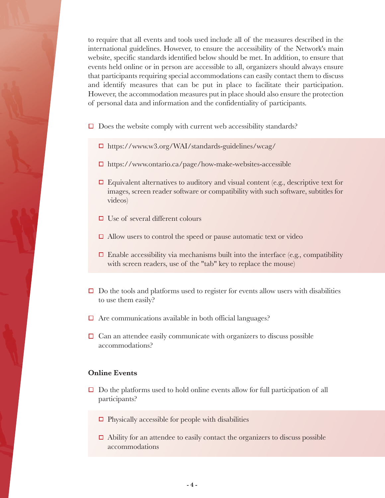to require that all events and tools used include all of the measures described in the international guidelines. However, to ensure the accessibility of the Network's main website, specific standards identified below should be met. In addition, to ensure that events held online or in person are accessible to all, organizers should always ensure that participants requiring special accommodations can easily contact them to discuss and identify measures that can be put in place to facilitate their participation. However, the accommodation measures put in place should also ensure the protection of personal data and information and the confidentiality of participants.

- $\Box$  Does the website comply with current web accessibility standards?
	- https://www.w3.org/WAI/standards-guidelines/wcag/
	- https://www.ontario.ca/page/how-make-websites-accessible
	- $\Box$  Equivalent alternatives to auditory and visual content (e.g., descriptive text for images, screen reader software or compatibility with such software, subtitles for videos)
	- $\Box$  Use of several different colours
	- $\Box$  Allow users to control the speed or pause automatic text or video
	- $\Box$  Enable accessibility via mechanisms built into the interface (e.g., compatibility with screen readers, use of the "tab" key to replace the mouse)
- $\Box$  Do the tools and platforms used to register for events allow users with disabilities to use them easily?
- $\Box$  Are communications available in both official languages?
- $\Box$  Can an attendee easily communicate with organizers to discuss possible accommodations?

#### **Online Events**

- $\Box$  Do the platforms used to hold online events allow for full participation of all participants?
	- $\Box$  Physically accessible for people with disabilities
	- $\Box$  Ability for an attendee to easily contact the organizers to discuss possible accommodations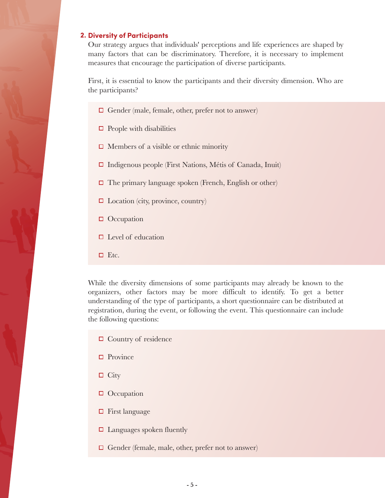#### **Diversity of Participants 2.**

Our strategy argues that individuals' perceptions and life experiences are shaped by many factors that can be discriminatory. Therefore, it is necessary to implement measures that encourage the participation of diverse participants.

First, it is essential to know the participants and their diversity dimension. Who are the participants?

- $\Box$  Gender (male, female, other, prefer not to answer)
- $\Box$  People with disabilities
- $\Box$  Members of a visible or ethnic minority
- $\Box$  Indigenous people (First Nations, Métis of Canada, Inuit)
- $\Box$  The primary language spoken (French, English or other)
- $\Box$  Location (city, province, country)
- $\Box$  Occupation
- $\Box$  Level of education
- $\square$  Etc.

While the diversity dimensions of some participants may already be known to the organizers, other factors may be more difficult to identify. To get a better understanding of the type of participants, a short questionnaire can be distributed at registration, during the event, or following the event. This questionnaire can include the following questions:

- $\Box$  Country of residence
- $\Box$  Province
- $\Box$  City
- **O** Occupation
- $\Box$  First language
- $\Box$  Languages spoken fluently
- $\Box$  Gender (female, male, other, prefer not to answer)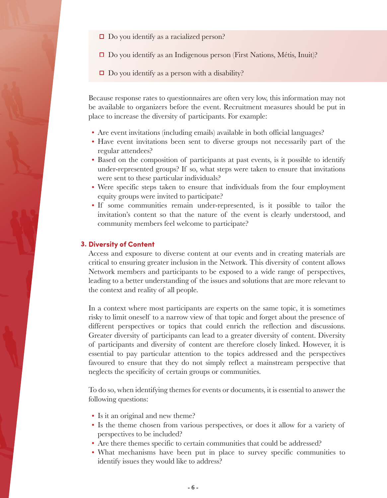- $\Box$  Do you identify as a racialized person?
- $\Box$  Do you identify as an Indigenous person (First Nations, Métis, Inuit)?
- $\Box$  Do you identify as a person with a disability?

Because response rates to questionnaires are often very low, this information may not be available to organizers before the event. Recruitment measures should be put in place to increase the diversity of participants. For example:

- Are event invitations (including emails) available in both official languages?
- Have event invitations been sent to diverse groups not necessarily part of the regular attendees?
- Based on the composition of participants at past events, is it possible to identify under-represented groups? If so, what steps were taken to ensure that invitations were sent to these particular individuals?
- Were specific steps taken to ensure that individuals from the four employment equity groups were invited to participate?
- If some communities remain under-represented, is it possible to tailor the invitation's content so that the nature of the event is clearly understood, and community members feel welcome to participate?

#### **Diversity of Content 3.**

Access and exposure to diverse content at our events and in creating materials are critical to ensuring greater inclusion in the Network. This diversity of content allows Network members and participants to be exposed to a wide range of perspectives, leading to a better understanding of the issues and solutions that are more relevant to the context and reality of all people.

In a context where most participants are experts on the same topic, it is sometimes risky to limit oneself to a narrow view of that topic and forget about the presence of different perspectives or topics that could enrich the reflection and discussions. Greater diversity of participants can lead to a greater diversity of content. Diversity of participants and diversity of content are therefore closely linked. However, it is essential to pay particular attention to the topics addressed and the perspectives favoured to ensure that they do not simply reflect a mainstream perspective that neglects the specificity of certain groups or communities.

To do so, when identifying themes for events or documents, it is essential to answer the following questions:

- Is it an original and new theme?
- Is the theme chosen from various perspectives, or does it allow for a variety of perspectives to be included?
- Are there themes specific to certain communities that could be addressed?
- What mechanisms have been put in place to survey specific communities to identify issues they would like to address?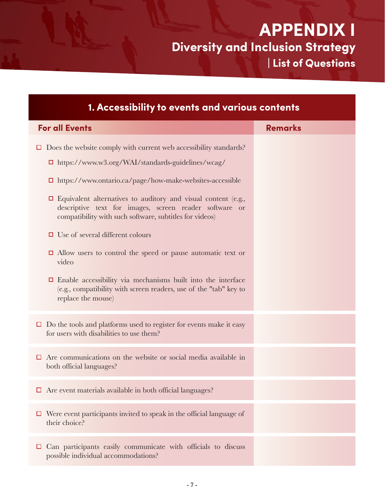**APPENDIX I Diversity and Inclusion Strategy | List of Questions**

| 1. Accessibility to events and various contents                                                                                                                                           |                |  |
|-------------------------------------------------------------------------------------------------------------------------------------------------------------------------------------------|----------------|--|
| <b>For all Events</b>                                                                                                                                                                     | <b>Remarks</b> |  |
| Does the website comply with current web accessibility standards?                                                                                                                         |                |  |
| $\Box$ https://www.w3.org/WAI/standards-guidelines/wcag/                                                                                                                                  |                |  |
| $\Box$ https://www.ontario.ca/page/how-make-websites-accessible                                                                                                                           |                |  |
| $\Box$ Equivalent alternatives to auditory and visual content (e.g.,<br>descriptive text for images, screen reader software or<br>compatibility with such software, subtitles for videos) |                |  |
| $\Box$ Use of several different colours                                                                                                                                                   |                |  |
| $\Box$ Allow users to control the speed or pause automatic text or<br>video                                                                                                               |                |  |
| $\Box$ Enable accessibility via mechanisms built into the interface<br>(e.g., compatibility with screen readers, use of the "tab" key to<br>replace the mouse)                            |                |  |
| Do the tools and platforms used to register for events make it easy<br>$\Box$<br>for users with disabilities to use them?                                                                 |                |  |
| Are communications on the website or social media available in<br>⊔<br>both official languages?                                                                                           |                |  |
| Are event materials available in both official languages?                                                                                                                                 |                |  |
| Were event participants invited to speak in the official language of<br>□<br>their choice?                                                                                                |                |  |
| Can participants easily communicate with officials to discuss<br>□<br>possible individual accommodations?                                                                                 |                |  |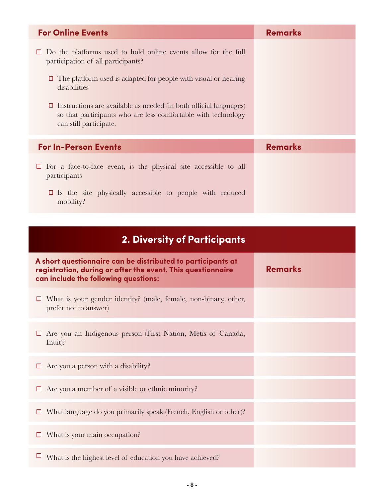| <b>For Online Events</b>                                                                                                                                                                                                                                                                                                                                             | <b>Remarks</b> |
|----------------------------------------------------------------------------------------------------------------------------------------------------------------------------------------------------------------------------------------------------------------------------------------------------------------------------------------------------------------------|----------------|
| $\Box$ Do the platforms used to hold online events allow for the full<br>participation of all participants?<br>The platform used is adapted for people with visual or hearing<br>disabilities<br>$\Box$ Instructions are available as needed (in both official languages)<br>so that participants who are less comfortable with technology<br>can still participate. |                |
| <b>For In-Person Events</b>                                                                                                                                                                                                                                                                                                                                          | <b>Remarks</b> |
| $\Box$ For a face-to-face event, is the physical site accessible to all<br>participants<br>$\Box$ Is the site physically accessible to people with reduced<br>mobility?                                                                                                                                                                                              |                |

| <b>2. Diversity of Participants</b>                                                                                                                                |                |
|--------------------------------------------------------------------------------------------------------------------------------------------------------------------|----------------|
| A short questionnaire can be distributed to participants at<br>registration, during or after the event. This questionnaire<br>can include the following questions: | <b>Remarks</b> |
| $\Box$ What is your gender identity? (male, female, non-binary, other,<br>prefer not to answer)                                                                    |                |
| $\Box$ Are you an Indigenous person (First Nation, Métis of Canada,<br>Inuit)?                                                                                     |                |
| $\Box$ Are you a person with a disability?                                                                                                                         |                |
| $\Box$ Are you a member of a visible or ethnic minority?                                                                                                           |                |
| $\Box$ What language do you primarily speak (French, English or other)?                                                                                            |                |
| $\Box$ What is your main occupation?                                                                                                                               |                |
| $\Box$ What is the highest level of education you have achieved?                                                                                                   |                |